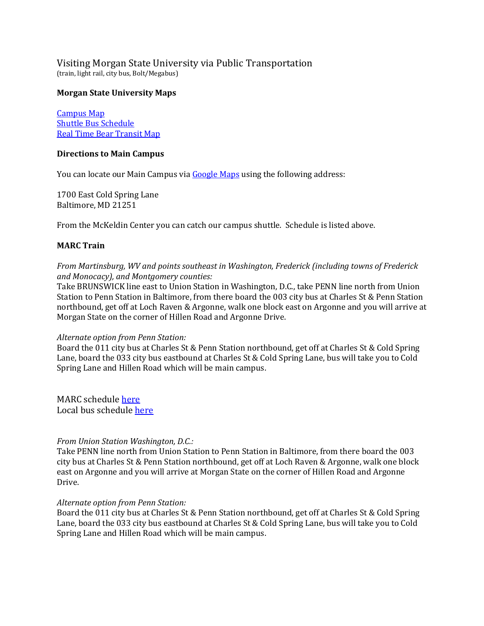Visiting Morgan State University via Public Transportation (train, light rail, city bus, Bolt/Megabus)

## **Morgan State University Maps**

[Campus Map](http://www.morgan.edu/Documents/ADMINISTRATION/Finance%20and%20Mgmt/design-construct/Campus-Map-5-30-09%20progress1.1.pdf) [Shuttle Bus Schedule](http://www.morgan.edu/administration/finance_and_management/office_of_business_and_auxiliary_services/shuttle_services/shuttle_bus_schedule.html) [Real Time Bear Transit Map](http://morgan.transloc.com/m/)

## **Directions to Main Campus**

You can locate our Main Campus via [Google Maps](maps.google.com) using the following address:

1700 East Cold Spring Lane Baltimore, MD 21251

From the McKeldin Center you can catch our campus shuttle. Schedule is listed above.

## **MARC Train**

*From Martinsburg, WV and points southeast in Washington, Frederick (including towns of Frederick and Monocacy), and Montgomery counties:*

Take BRUNSWICK line east to Union Station in Washington, D.C., take PENN line north from Union Station to Penn Station in Baltimore, from there board the 003 city bus at Charles St & Penn Station northbound, get off at Loch Raven & Argonne, walk one block east on Argonne and you will arrive at Morgan State on the corner of Hillen Road and Argonne Drive.

#### *Alternate option from Penn Station:*

Board the 011 city bus at Charles St & Penn Station northbound, get off at Charles St & Cold Spring Lane, board the 033 city bus eastbound at Charles St & Cold Spring Lane, bus will take you to Cold Spring Lane and Hillen Road which will be main campus.

MARC schedule [here](http://mta.maryland.gov/marc-train) Local bus schedule [here](http://mta.maryland.gov/local-bus)

## *From Union Station Washington, D.C.:*

Take PENN line north from Union Station to Penn Station in Baltimore, from there board the 003 city bus at Charles St & Penn Station northbound, get off at Loch Raven & Argonne, walk one block east on Argonne and you will arrive at Morgan State on the corner of Hillen Road and Argonne Drive.

#### *Alternate option from Penn Station:*

Board the 011 city bus at Charles St & Penn Station northbound, get off at Charles St & Cold Spring Lane, board the 033 city bus eastbound at Charles St & Cold Spring Lane, bus will take you to Cold Spring Lane and Hillen Road which will be main campus.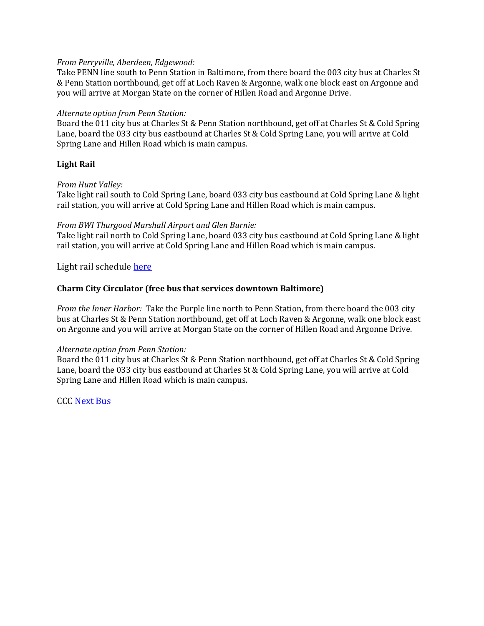# *From Perryville, Aberdeen, Edgewood:*

Take PENN line south to Penn Station in Baltimore, from there board the 003 city bus at Charles St & Penn Station northbound, get off at Loch Raven & Argonne, walk one block east on Argonne and you will arrive at Morgan State on the corner of Hillen Road and Argonne Drive.

# *Alternate option from Penn Station:*

Board the 011 city bus at Charles St & Penn Station northbound, get off at Charles St & Cold Spring Lane, board the 033 city bus eastbound at Charles St & Cold Spring Lane, you will arrive at Cold Spring Lane and Hillen Road which is main campus.

# **Light Rail**

## *From Hunt Valley:*

Take light rail south to Cold Spring Lane, board 033 city bus eastbound at Cold Spring Lane & light rail station, you will arrive at Cold Spring Lane and Hillen Road which is main campus.

# *From BWI Thurgood Marshall Airport and Glen Burnie:*

Take light rail north to Cold Spring Lane, board 033 city bus eastbound at Cold Spring Lane & light rail station, you will arrive at Cold Spring Lane and Hillen Road which is main campus.

Light rail schedule [here](http://mta.maryland.gov/light-rail)

# **Charm City Circulator (free bus that services downtown Baltimore)**

*From the Inner Harbor:* Take the Purple line north to Penn Station, from there board the 003 city bus at Charles St & Penn Station northbound, get off at Loch Raven & Argonne, walk one block east on Argonne and you will arrive at Morgan State on the corner of Hillen Road and Argonne Drive.

## *Alternate option from Penn Station:*

Board the 011 city bus at Charles St & Penn Station northbound, get off at Charles St & Cold Spring Lane, board the 033 city bus eastbound at Charles St & Cold Spring Lane, you will arrive at Cold Spring Lane and Hillen Road which is main campus.

CCC [Next Bus](http://www.charmcitycirculator.com/content/next-bus)